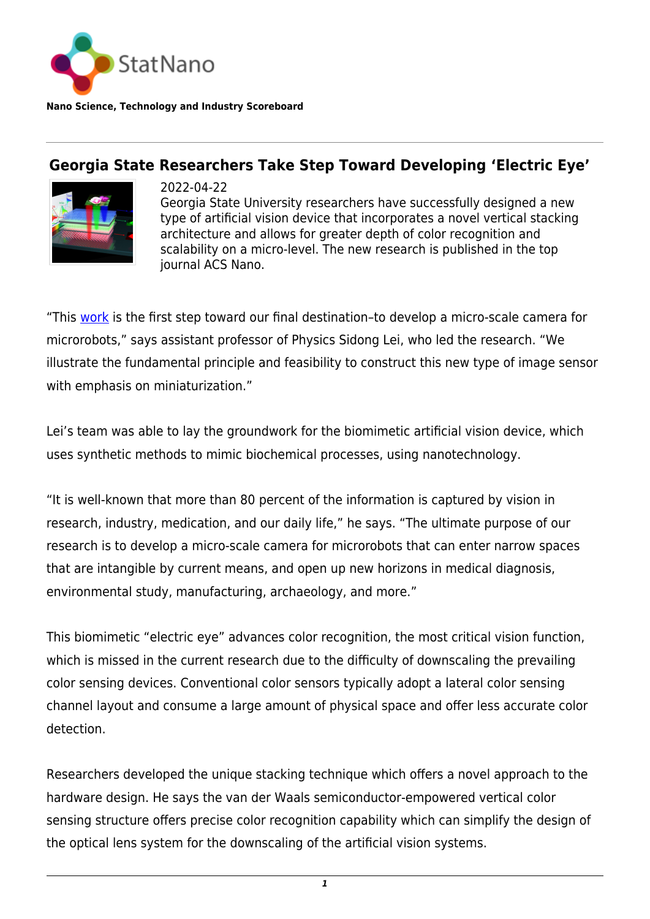

**Nano Science, Technology and Industry Scoreboard**

## **Georgia State Researchers Take Step Toward Developing 'Electric Eye'**



2022-04-22 Georgia State University researchers have successfully designed a new type of artificial vision device that incorporates a novel vertical stacking architecture and allows for greater depth of color recognition and scalability on a micro-level. The new research is published in the top journal ACS Nano.

"This [work](https://pubs.acs.org/doi/10.1021/acsnano.1c09875) is the first step toward our final destination–to develop a micro-scale camera for microrobots," says assistant professor of Physics Sidong Lei, who led the research. "We illustrate the fundamental principle and feasibility to construct this new type of image sensor with emphasis on miniaturization."

Lei's team was able to lay the groundwork for the biomimetic artificial vision device, which uses synthetic methods to mimic biochemical processes, using nanotechnology.

"It is well-known that more than 80 percent of the information is captured by vision in research, industry, medication, and our daily life," he says. "The ultimate purpose of our research is to develop a micro-scale camera for microrobots that can enter narrow spaces that are intangible by current means, and open up new horizons in medical diagnosis, environmental study, manufacturing, archaeology, and more."

This biomimetic "electric eye" advances color recognition, the most critical vision function, which is missed in the current research due to the difficulty of downscaling the prevailing color sensing devices. Conventional color sensors typically adopt a lateral color sensing channel layout and consume a large amount of physical space and offer less accurate color detection.

Researchers developed the unique stacking technique which offers a novel approach to the hardware design. He says the van der Waals semiconductor-empowered vertical color sensing structure offers precise color recognition capability which can simplify the design of the optical lens system for the downscaling of the artificial vision systems.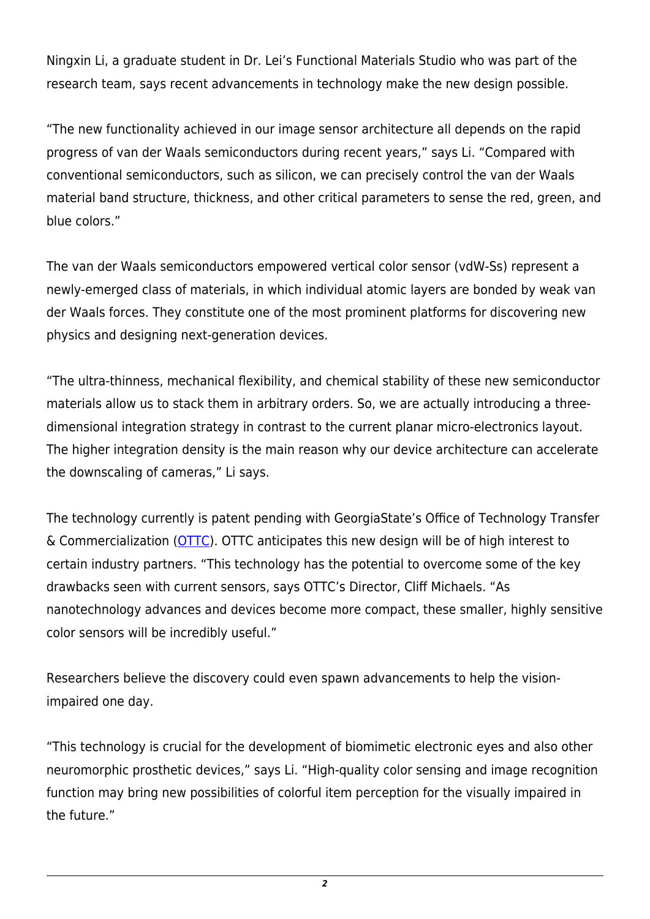Ningxin Li, a graduate student in Dr. Lei's Functional Materials Studio who was part of the research team, says recent advancements in technology make the new design possible.

"The new functionality achieved in our image sensor architecture all depends on the rapid progress of van der Waals semiconductors during recent years," says Li. "Compared with conventional semiconductors, such as silicon, we can precisely control the van der Waals material band structure, thickness, and other critical parameters to sense the red, green, and blue colors."

The van der Waals semiconductors empowered vertical color sensor (vdW-Ss) represent a newly-emerged class of materials, in which individual atomic layers are bonded by weak van der Waals forces. They constitute one of the most prominent platforms for discovering new physics and designing next-generation devices.

"The ultra-thinness, mechanical flexibility, and chemical stability of these new semiconductor materials allow us to stack them in arbitrary orders. So, we are actually introducing a threedimensional integration strategy in contrast to the current planar micro-electronics layout. The higher integration density is the main reason why our device architecture can accelerate the downscaling of cameras," Li says.

The technology currently is patent pending with GeorgiaState's Office of Technology Transfer & Commercialization ([OTTC\)](https://research.gsu.edu/georgia-state-technology-transfer/). OTTC anticipates this new design will be of high interest to certain industry partners. "This technology has the potential to overcome some of the key drawbacks seen with current sensors, says OTTC's Director, Cliff Michaels. "As nanotechnology advances and devices become more compact, these smaller, highly sensitive color sensors will be incredibly useful."

Researchers believe the discovery could even spawn advancements to help the visionimpaired one day.

"This technology is crucial for the development of biomimetic electronic eyes and also other neuromorphic prosthetic devices," says Li. "High-quality color sensing and image recognition function may bring new possibilities of colorful item perception for the visually impaired in the future."